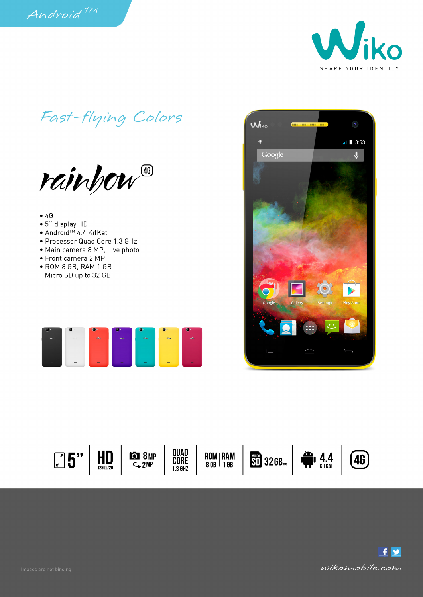

Fast-flying Colors

rainhow

## $\bullet$  4G

- 5" display HD
- Android<sup>™</sup> 4.4 KitKat
- Processor Quad Core 1.3 GHz
- · Main camera 8 MP, Live photo
- Front camera 2 MP
- · ROM 8 GB, RAM 1 GB Micro SD up to 32 GB







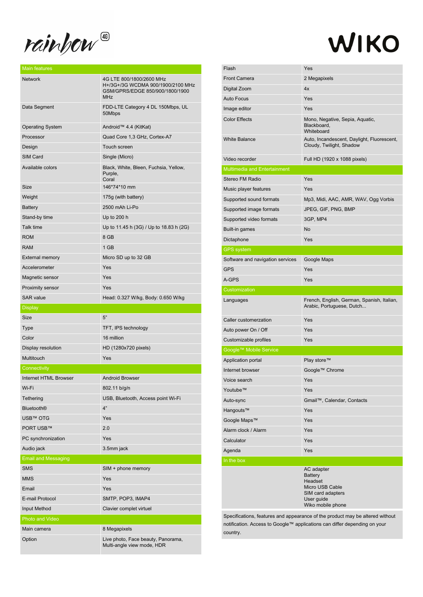rainhow

## WIKO

| <b>Network</b>             | 4G LTE 800/1800/2600 MHz<br>H+/3G+/3G WCDMA 900/1900/2100 MHz<br>GSM/GPRS/EDGE 850/900/1800/1900<br><b>MHz</b> |
|----------------------------|----------------------------------------------------------------------------------------------------------------|
| Data Segment               | FDD-LTE Category 4 DL 150Mbps, UL<br>50Mbps                                                                    |
| <b>Operating System</b>    | Android™ 4.4 (KitKat)                                                                                          |
| Processor                  | Quad Core 1,3 GHz, Cortex-A7                                                                                   |
| Design                     | Touch screen                                                                                                   |
| SIM Card                   | Single (Micro)                                                                                                 |
| Available colors           | Black, White, Bleen, Fuchsia, Yellow,<br>Purple,<br>Coral                                                      |
| Size                       | 146*74*10 mm                                                                                                   |
| Weight                     | 175g (with battery)                                                                                            |
| Battery                    | 2500 mAh Li-Po                                                                                                 |
| Stand-by time              | Up to 200 h                                                                                                    |
| Talk time                  | Up to 11.45 h (3G) / Up to 18.83 h (2G)                                                                        |
| <b>ROM</b>                 | 8 GB                                                                                                           |
| <b>RAM</b>                 | 1 GB                                                                                                           |
| <b>External memory</b>     | Micro SD up to 32 GB                                                                                           |
| Accelerometer              | Yes                                                                                                            |
| Magnetic sensor            | Yes                                                                                                            |
| <b>Proximity sensor</b>    | Yes                                                                                                            |
| <b>SAR</b> value           | Head: 0.327 W/kg, Body: 0.650 W/kg                                                                             |
| <b>Display</b>             |                                                                                                                |
| Size                       | 5"                                                                                                             |
| Type                       | TFT, IPS technology                                                                                            |
|                            |                                                                                                                |
| Color                      | 16 million                                                                                                     |
| Display resolution         | HD (1280x720 pixels)                                                                                           |
| Multitouch                 | Yes                                                                                                            |
| Connectivity               |                                                                                                                |
| Internet HTML Browser      | <b>Android Browser</b>                                                                                         |
| Wi-Fi                      | 802.11 b/g/n                                                                                                   |
| Tethering                  | USB, Bluetooth, Access point Wi-Fi                                                                             |
| <b>Bluetooth®</b>          | 4"                                                                                                             |
| <b>USB™ OTG</b>            | Yes                                                                                                            |
| PORT USB™                  | 2.0                                                                                                            |
| PC synchronization         | Yes                                                                                                            |
| Audio jack                 | 3.5mm jack                                                                                                     |
| <b>Email and Messaging</b> |                                                                                                                |
| <b>SMS</b>                 | SIM + phone memory                                                                                             |
| <b>MMS</b>                 | Yes                                                                                                            |
| Email                      | Yes                                                                                                            |
| E-mail Protocol            | SMTP, POP3, IMAP4                                                                                              |
| Input Method               | Clavier complet virtuel                                                                                        |
| Photo and Video            |                                                                                                                |
| Main camera                | 8 Megapixels                                                                                                   |

| <b>Front Camera</b>                 | Yes                                                                     |
|-------------------------------------|-------------------------------------------------------------------------|
|                                     | 2 Megapixels                                                            |
| Digital Zoom                        | 4x                                                                      |
| <b>Auto Focus</b>                   | Yes                                                                     |
| Image editor                        | Yes                                                                     |
| <b>Color Effects</b>                | Mono, Negative, Sepia, Aquatic,<br>Blackboard,<br>Whiteboard            |
| <b>White Balance</b>                | Auto, Incandescent, Daylight, Fluorescent,<br>Cloudy, Twilight, Shadow  |
| Video recorder                      | Full HD (1920 x 1088 pixels)                                            |
| <b>Multimedia and Entertainment</b> |                                                                         |
| Stereo FM Radio                     | Yes                                                                     |
| Music player features               | Yes                                                                     |
| Supported sound formats             | Mp3, Midi, AAC, AMR, WAV, Ogg Vorbis                                    |
| Supported image formats             | JPEG, GIF, PNG, BMP                                                     |
| Supported video formats             | 3GP, MP4                                                                |
| Built-in games                      | No                                                                      |
| Dictaphone                          | Yes                                                                     |
| <b>GPS</b> system                   |                                                                         |
| Software and navigation services    | Google Maps                                                             |
| <b>GPS</b>                          | Yes                                                                     |
| A-GPS                               | Yes                                                                     |
| Customization                       |                                                                         |
| Languages                           | French, English, German, Spanish, Italian,<br>Arabic, Portuguese, Dutch |
| Caller customerzation               | Yes                                                                     |
| Auto power On / Off                 | Yes                                                                     |
| Customizable profiles               | Yes                                                                     |
|                                     |                                                                         |
| Google™ Mobile Service              |                                                                         |
| Application portal                  | Play store™                                                             |
| Internet browser                    | Google™ Chrome                                                          |
| Voice search                        | Yes                                                                     |
| Youtube™                            | Yes                                                                     |
| Auto-sync                           | Gmail <sup>™</sup> , Calendar, Contacts                                 |
| Hangouts™                           | Yes                                                                     |
| Google Maps™                        | Yes                                                                     |
| Alarm clock / Alarm                 | Yes                                                                     |
| Calculator                          | Yes                                                                     |
| Agenda                              | Yes                                                                     |
| In the box                          | AC adapter                                                              |

Specifications, features and appearance of the product may be altered without notification. Access to Google™ applications can differ depending on your country.